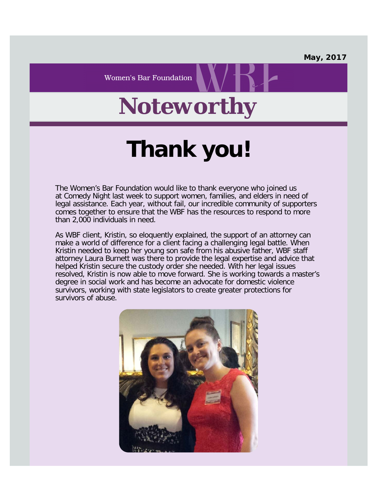**Women's Bar Foundation** 

# *Noteworthy*

## **Thank you!**

The Women's Bar Foundation would like to thank everyone who joined us at Comedy Night last week to support women, families, and elders in need of legal assistance. Each year, without fail, our incredible community of supporters comes together to ensure that the WBF has the resources to respond to more than 2,000 individuals in need.

As WBF client, Kristin, so eloquently explained, the support of an attorney can make a world of difference for a client facing a challenging legal battle. When Kristin needed to keep her young son safe from his abusive father, WBF staff attorney Laura Burnett was there to provide the legal expertise and advice that helped Kristin secure the custody order she needed. With her legal issues resolved, Kristin is now able to move forward. She is working towards a master's degree in social work and has become an advocate for domestic violence survivors, working with state legislators to create greater protections for survivors of abuse.

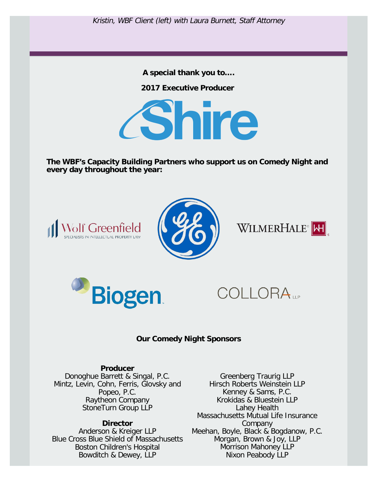Kristin, WBF Client (left) with Laura Burnett, Staff Attorney

**A special thank you to….**

**2017 Executive Producer**



**The WBF's Capacity Building Partners who support us on Comedy Night and every day throughout the year:**











### **Our Comedy Night Sponsors**

### **Producer**

Donoghue Barrett & Singal, P.C. Mintz, Levin, Cohn, Ferris, Glovsky and Popeo, P.C. Raytheon Company StoneTurn Group LLP

### **Director**

Anderson & Kreiger LLP Blue Cross Blue Shield of Massachusetts Boston Children's Hospital Bowditch & Dewey, LLP

Greenberg Traurig LLP Hirsch Roberts Weinstein LLP Kenney & Sams, P.C. Krokidas & Bluestein LLP Lahey Health Massachusetts Mutual Life Insurance **Company** Meehan, Boyle, Black & Bogdanow, P.C. Morgan, Brown & Joy, LLP Morrison Mahoney LLP Nixon Peabody LLP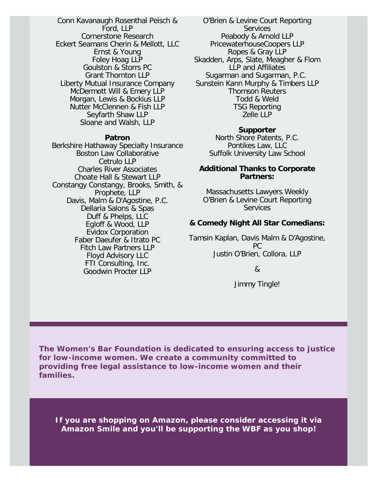Conn Kavanaugh Rosenthal Peisch & Ford, LLP Cornerstone Research Eckert Seamans Cherin & Mellott, LLC Ernst & Young Foley Hoag LLP Goulston & Storrs PC Grant Thornton LLP Liberty Mutual Insurance Company McDermott Will & Emery LLP Morgan, Lewis & Bockius LLP Nutter McClennen & Fish LLP Seyfarth Shaw LLP Sloane and Walsh, LLP

#### **Patron**

Berkshire Hathaway Specialty Insurance Boston Law Collaborative Cetrulo LLP Charles River Associates Choate Hall & Stewart LLP Constangy Constangy, Brooks, Smith, & Prophete, LLP Davis, Malm & D'Agostine, P.C. Dellaria Salons & Spas Duff & Phelps, LLC Egloff & Wood, LLP Evidox Corporation Faber Daeufer & Itrato PC Fitch Law Partners LLP Floyd Advisory LLC FTI Consulting, Inc. Goodwin Procter LLP

O'Brien & Levine Court Reporting **Services** Peabody & Arnold LLP PricewaterhouseCoopers LLP Ropes & Gray LLP Skadden, Arps, Slate, Meagher & Flom LLP and Affiliates Sugarman and Sugarman, P.C. Sunstein Kann Murphy & Timbers LLP Thomson Reuters Todd & Weld TSG Reporting Zelle LLP

#### **Supporter**

North Shore Patents, P.C. Pontikes Law, LLC Suffolk University Law School

#### **Additional Thanks to Corporate Partners:**

Massachusetts Lawyers Weekly O'Brien & Levine Court Reporting **Services** 

#### **& Comedy Night All Star Comedians:**

Tamsin Kaplan, Davis Malm & D'Agostine, PC Justin O'Brien, Collora, LLP

&

Jimmy Tingle!

*The Women's Bar Foundation is dedicated to ensuring access to justice for low-income women. We create a community committed to providing free legal assistance to low-income women and their families.*

**If you are shopping on Amazon, please consider accessing it via Amazon Smile and you'll be supporting the WBF as you shop!**